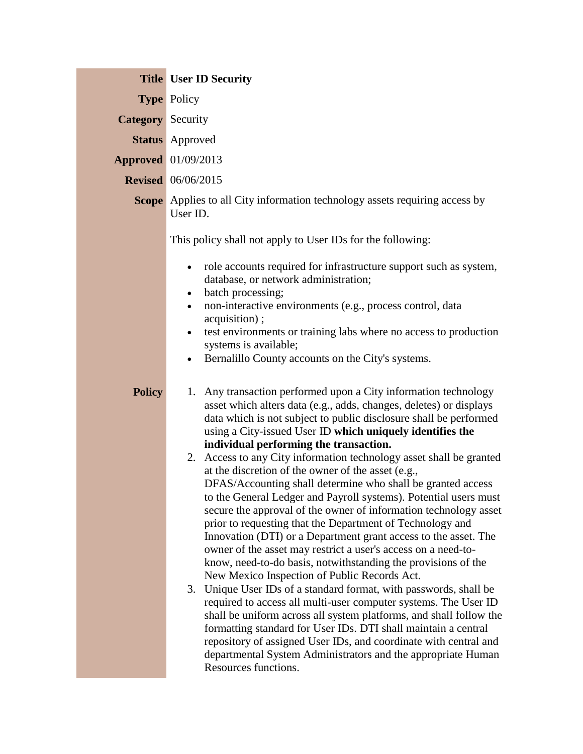|                          | <b>Title User ID Security</b>                                                                                                                                                                                                                                                                                                                                                                                                                                                                                                                                                                                                                                                                                                                                                                                                                                                                                                                                                                                                                                                                                                                                                                                                                                                                                                                                                                                                                                                                                                                                                                                                                                                                                                                                                                                                                                                                           |
|--------------------------|---------------------------------------------------------------------------------------------------------------------------------------------------------------------------------------------------------------------------------------------------------------------------------------------------------------------------------------------------------------------------------------------------------------------------------------------------------------------------------------------------------------------------------------------------------------------------------------------------------------------------------------------------------------------------------------------------------------------------------------------------------------------------------------------------------------------------------------------------------------------------------------------------------------------------------------------------------------------------------------------------------------------------------------------------------------------------------------------------------------------------------------------------------------------------------------------------------------------------------------------------------------------------------------------------------------------------------------------------------------------------------------------------------------------------------------------------------------------------------------------------------------------------------------------------------------------------------------------------------------------------------------------------------------------------------------------------------------------------------------------------------------------------------------------------------------------------------------------------------------------------------------------------------|
|                          | <b>Type Policy</b>                                                                                                                                                                                                                                                                                                                                                                                                                                                                                                                                                                                                                                                                                                                                                                                                                                                                                                                                                                                                                                                                                                                                                                                                                                                                                                                                                                                                                                                                                                                                                                                                                                                                                                                                                                                                                                                                                      |
| <b>Category</b> Security |                                                                                                                                                                                                                                                                                                                                                                                                                                                                                                                                                                                                                                                                                                                                                                                                                                                                                                                                                                                                                                                                                                                                                                                                                                                                                                                                                                                                                                                                                                                                                                                                                                                                                                                                                                                                                                                                                                         |
|                          | <b>Status</b> Approved                                                                                                                                                                                                                                                                                                                                                                                                                                                                                                                                                                                                                                                                                                                                                                                                                                                                                                                                                                                                                                                                                                                                                                                                                                                                                                                                                                                                                                                                                                                                                                                                                                                                                                                                                                                                                                                                                  |
|                          | <b>Approved</b> 01/09/2013                                                                                                                                                                                                                                                                                                                                                                                                                                                                                                                                                                                                                                                                                                                                                                                                                                                                                                                                                                                                                                                                                                                                                                                                                                                                                                                                                                                                                                                                                                                                                                                                                                                                                                                                                                                                                                                                              |
|                          | <b>Revised</b> 06/06/2015                                                                                                                                                                                                                                                                                                                                                                                                                                                                                                                                                                                                                                                                                                                                                                                                                                                                                                                                                                                                                                                                                                                                                                                                                                                                                                                                                                                                                                                                                                                                                                                                                                                                                                                                                                                                                                                                               |
|                          | <b>Scope</b> Applies to all City information technology assets requiring access by<br>User ID.                                                                                                                                                                                                                                                                                                                                                                                                                                                                                                                                                                                                                                                                                                                                                                                                                                                                                                                                                                                                                                                                                                                                                                                                                                                                                                                                                                                                                                                                                                                                                                                                                                                                                                                                                                                                          |
| <b>Policy</b>            | This policy shall not apply to User IDs for the following:<br>role accounts required for infrastructure support such as system,<br>database, or network administration;<br>batch processing;<br>$\bullet$<br>non-interactive environments (e.g., process control, data<br>$\bullet$<br>acquisition);<br>test environments or training labs where no access to production<br>$\bullet$<br>systems is available;<br>Bernalillo County accounts on the City's systems.<br>$\bullet$<br>1. Any transaction performed upon a City information technology<br>asset which alters data (e.g., adds, changes, deletes) or displays<br>data which is not subject to public disclosure shall be performed<br>using a City-issued User ID which uniquely identifies the<br>individual performing the transaction.<br>2. Access to any City information technology asset shall be granted<br>at the discretion of the owner of the asset (e.g.,<br>DFAS/Accounting shall determine who shall be granted access<br>to the General Ledger and Payroll systems). Potential users must<br>secure the approval of the owner of information technology asset<br>prior to requesting that the Department of Technology and<br>Innovation (DTI) or a Department grant access to the asset. The<br>owner of the asset may restrict a user's access on a need-to-<br>know, need-to-do basis, notwithstanding the provisions of the<br>New Mexico Inspection of Public Records Act.<br>3. Unique User IDs of a standard format, with passwords, shall be<br>required to access all multi-user computer systems. The User ID<br>shall be uniform across all system platforms, and shall follow the<br>formatting standard for User IDs. DTI shall maintain a central<br>repository of assigned User IDs, and coordinate with central and<br>departmental System Administrators and the appropriate Human<br>Resources functions. |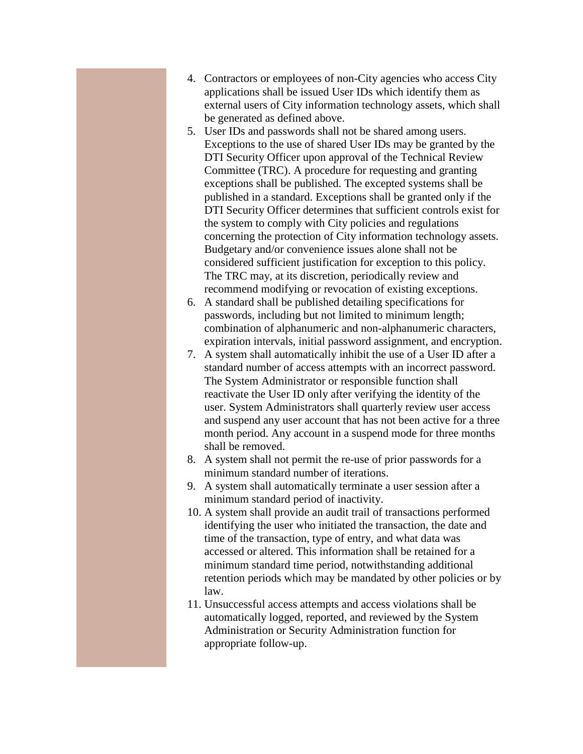- 4. Contractors or employees of non-City agencies who access City applications shall be issued User IDs which identify them as external users of City information technology assets, which shall be generated as defined above.
- 5. User IDs and passwords shall not be shared among users. Exceptions to the use of shared User IDs may be granted by the DTI Security Officer upon approval of the Technical Review Committee (TRC). A procedure for requesting and granting exceptions shall be published. The excepted systems shall be published in a standard. Exceptions shall be granted only if the DTI Security Officer determines that sufficient controls exist for the system to comply with City policies and regulations concerning the protection of City information technology assets. Budgetary and/or convenience issues alone shall not be considered sufficient justification for exception to this policy. The TRC may, at its discretion, periodically review and recommend modifying or revocation of existing exceptions.
- 6. A standard shall be published detailing specifications for passwords, including but not limited to minimum length; combination of alphanumeric and non-alphanumeric characters, expiration intervals, initial password assignment, and encryption.
- 7. A system shall automatically inhibit the use of a User ID after a standard number of access attempts with an incorrect password. The System Administrator or responsible function shall reactivate the User ID only after verifying the identity of the user. System Administrators shall quarterly review user access and suspend any user account that has not been active for a three month period. Any account in a suspend mode for three months shall be removed.
- 8. A system shall not permit the re-use of prior passwords for a minimum standard number of iterations.
- 9. A system shall automatically terminate a user session after a minimum standard period of inactivity.
- 10. A system shall provide an audit trail of transactions performed identifying the user who initiated the transaction, the date and time of the transaction, type of entry, and what data was accessed or altered. This information shall be retained for a minimum standard time period, notwithstanding additional retention periods which may be mandated by other policies or by law.
- 11. Unsuccessful access attempts and access violations shall be automatically logged, reported, and reviewed by the System Administration or Security Administration function for appropriate follow-up.